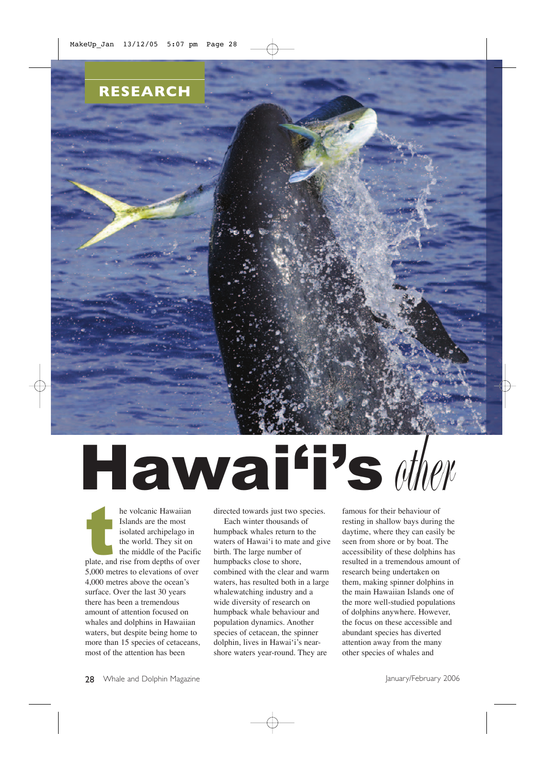

# Hawai'i'sother

the volcanic Hawaiian<br>
Islands are the most<br>
isolated archipelago in<br>
the world. They sit on<br>
the middle of the Pacific<br>
plate, and rise from depths of over he volcanic Hawaiian Islands are the most isolated archipelago in the world. They sit on the middle of the Pacific 5,000 metres to elevations of over 4,000 metres above the ocean's surface. Over the last 30 years there has been a tremendous amount of attention focused on whales and dolphins in Hawaiian waters, but despite being home to more than 15 species of cetaceans, most of the attention has been

directed towards just two species.

Each winter thousands of humpback whales return to the waters of Hawai'i to mate and give birth. The large number of humpbacks close to shore, combined with the clear and warm waters, has resulted both in a large whalewatching industry and a wide diversity of research on humpback whale behaviour and population dynamics. Another species of cetacean, the spinner dolphin, lives in Hawai'i's nearshore waters year-round. They are

famous for their behaviour of resting in shallow bays during the daytime, where they can easily be seen from shore or by boat. The accessibility of these dolphins has resulted in a tremendous amount of research being undertaken on them, making spinner dolphins in the main Hawaiian Islands one of the more well-studied populations of dolphins anywhere. However, the focus on these accessible and abundant species has diverted attention away from the many other species of whales and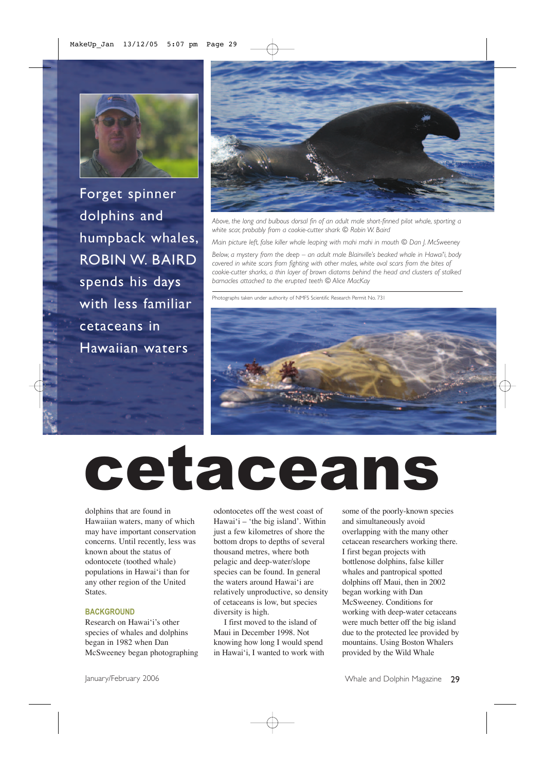

Forget spinner dolphins and humpback whales, ROBIN W. BAIRD spends his days with less familiar cetaceans in Hawaiian waters



*Above, the long and bulbous dorsal fin of an adult male short-finned pilot whale, sporting a white scar, probably from a cookie-cutter shark © Robin W. Baird*

*Main picture left, false killer whale leaping with mahi mahi in mouth © Dan J. McSweeney*

*Below, a mystery from the deep – an adult male Blainville's beaked whale in Hawai'i, body covered in white scars from fighting with other males, white oval scars from the bites of cookie-cutter sharks, a thin layer of brown diatoms behind the head and clusters of stalked barnacles attached to the erupted teeth © Alice MacKay*

Photographs taken under authority of NMFS Scientific Research Permit No. 731



## cetaceans

dolphins that are found in Hawaiian waters, many of which may have important conservation concerns. Until recently, less was known about the status of odontocete (toothed whale) populations in Hawai'i than for any other region of the United States.

#### **BACKGROUND**

Research on Hawai'i's other species of whales and dolphins began in 1982 when Dan McSweeney began photographing odontocetes off the west coast of Hawai'i – 'the big island'. Within just a few kilometres of shore the bottom drops to depths of several thousand metres, where both pelagic and deep-water/slope species can be found. In general the waters around Hawai'i are relatively unproductive, so density of cetaceans is low, but species diversity is high.

I first moved to the island of Maui in December 1998. Not knowing how long I would spend in Hawai'i, I wanted to work with some of the poorly-known species and simultaneously avoid overlapping with the many other cetacean researchers working there. I first began projects with bottlenose dolphins, false killer whales and pantropical spotted dolphins off Maui, then in 2002 began working with Dan McSweeney. Conditions for working with deep-water cetaceans were much better off the big island due to the protected lee provided by mountains. Using Boston Whalers provided by the Wild Whale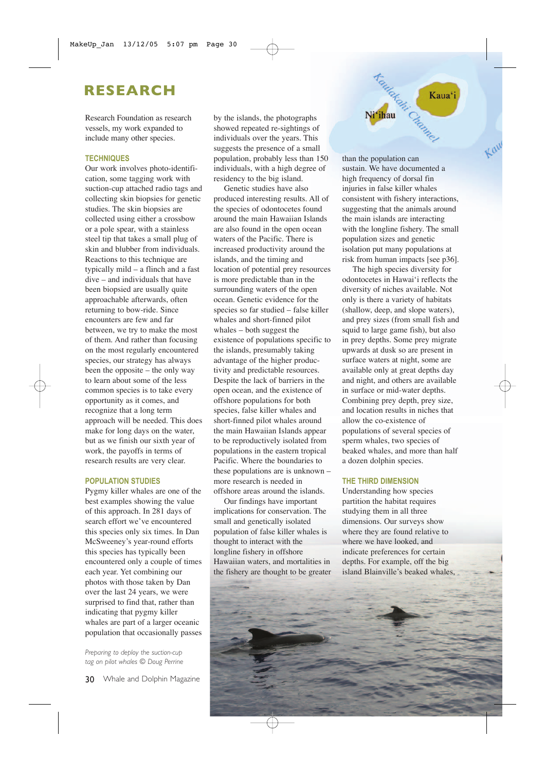### **RESEARCH**

Research Foundation as research vessels, my work expanded to include many other species.

#### **TECHNIQUES**

Our work involves photo-identification, some tagging work with suction-cup attached radio tags and collecting skin biopsies for genetic studies. The skin biopsies are collected using either a crossbow or a pole spear, with a stainless steel tip that takes a small plug of skin and blubber from individuals. Reactions to this technique are typically mild – a flinch and a fast dive – and individuals that have been biopsied are usually quite approachable afterwards, often returning to bow-ride. Since encounters are few and far between, we try to make the most of them. And rather than focusing on the most regularly encountered species, our strategy has always been the opposite – the only way to learn about some of the less common species is to take every opportunity as it comes, and recognize that a long term approach will be needed. This does make for long days on the water, but as we finish our sixth year of work, the payoffs in terms of research results are very clear.

#### **POPULATION STUDIES**

Pygmy killer whales are one of the best examples showing the value of this approach. In 281 days of search effort we've encountered this species only six times. In Dan McSweeney's year-round efforts this species has typically been encountered only a couple of times each year. Yet combining our photos with those taken by Dan over the last 24 years, we were surprised to find that, rather than indicating that pygmy killer whales are part of a larger oceanic population that occasionally passes

*Preparing to deploy the suction-cup tag on pilot whales © Doug Perrine* by the islands, the photographs showed repeated re-sightings of individuals over the years. This suggests the presence of a small population, probably less than 150 individuals, with a high degree of residency to the big island.

Genetic studies have also produced interesting results. All of the species of odontocetes found around the main Hawaiian Islands are also found in the open ocean waters of the Pacific. There is increased productivity around the islands, and the timing and location of potential prey resources is more predictable than in the surrounding waters of the open ocean. Genetic evidence for the species so far studied – false killer whales and short-finned pilot whales – both suggest the existence of populations specific to the islands, presumably taking advantage of the higher productivity and predictable resources. Despite the lack of barriers in the open ocean, and the existence of offshore populations for both species, false killer whales and short-finned pilot whales around the main Hawaiian Islands appear to be reproductively isolated from populations in the eastern tropical Pacific. Where the boundaries to these populations are is unknown – more research is needed in offshore areas around the islands.

Our findings have important implications for conservation. The small and genetically isolated population of false killer whales is thought to interact with the longline fishery in offshore Hawaiian waters, and mortalities in the fishery are thought to be greater than the population can sustain. We have documented a high frequency of dorsal fin injuries in false killer whales consistent with fishery interactions, suggesting that the animals around the main islands are interacting with the longline fishery. The small population sizes and genetic isolation put many populations at risk from human impacts [see p36].

**Henderski** Kat

Ni'ihau

Kaua'i

The high species diversity for odontocetes in Hawai'i reflects the diversity of niches available. Not only is there a variety of habitats (shallow, deep, and slope waters), and prey sizes (from small fish and squid to large game fish), but also in prey depths. Some prey migrate upwards at dusk so are present in surface waters at night, some are available only at great depths day and night, and others are available in surface or mid-water depths. Combining prey depth, prey size, and location results in niches that allow the co-existence of populations of several species of sperm whales, two species of beaked whales, and more than half a dozen dolphin species.

#### **THE THIRD DIMENSION**

Understanding how species partition the habitat requires studying them in all three dimensions. Our surveys show where they are found relative to where we have looked, and indicate preferences for certain depths. For example, off the big island Blainville's beaked whales,